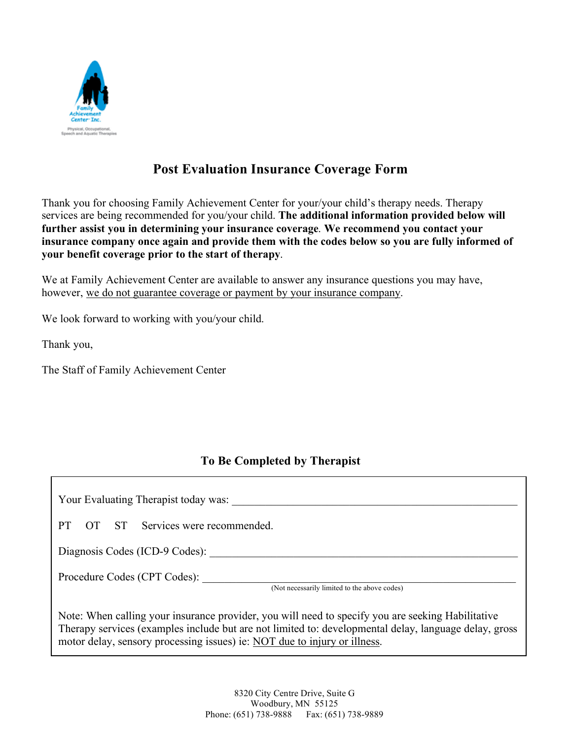

# **Post Evaluation Insurance Coverage Form**

Thank you for choosing Family Achievement Center for your/your child's therapy needs. Therapy services are being recommended for you/your child. **The additional information provided below will further assist you in determining your insurance coverage**. **We recommend you contact your insurance company once again and provide them with the codes below so you are fully informed of your benefit coverage prior to the start of therapy**.

We at Family Achievement Center are available to answer any insurance questions you may have, however, we do not guarantee coverage or payment by your insurance company.

We look forward to working with you/your child.

Thank you,

The Staff of Family Achievement Center

### **To Be Completed by Therapist**

Your Evaluating Therapist today was: PT OT ST Services were recommended. Diagnosis Codes (ICD-9 Codes): \_\_\_\_\_\_\_\_\_\_\_\_\_\_\_\_\_\_\_\_\_\_\_\_\_\_\_\_\_\_\_\_\_\_\_\_\_\_\_\_\_\_\_\_\_\_\_\_\_\_\_\_\_\_\_ Procedure Codes (CPT Codes): (Not necessarily limited to the above codes) Note: When calling your insurance provider, you will need to specify you are seeking Habilitative Therapy services (examples include but are not limited to: developmental delay, language delay, gross motor delay, sensory processing issues) ie: NOT due to injury or illness.